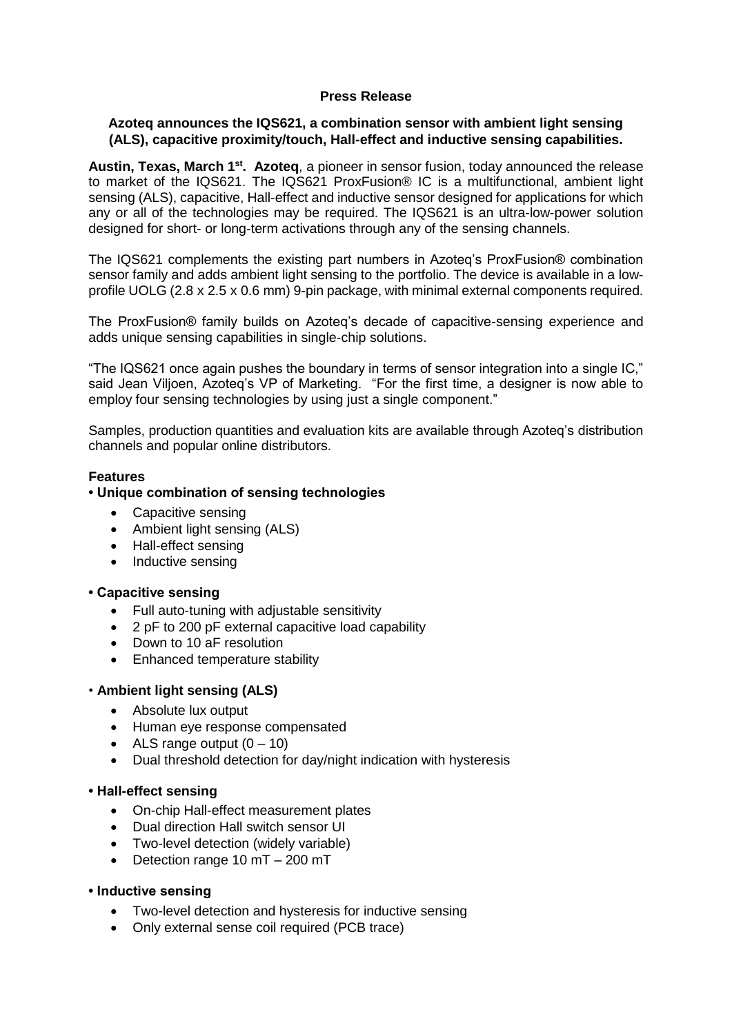## **Press Release**

## **Azoteq announces the IQS621, a combination sensor with ambient light sensing (ALS), capacitive proximity/touch, Hall-effect and inductive sensing capabilities.**

Austin, Texas, March 1<sup>st</sup>. Azoteq, a pioneer in sensor fusion, today announced the release to market of the IQS621. The IQS621 ProxFusion® IC is a multifunctional, ambient light sensing (ALS), capacitive, Hall-effect and inductive sensor designed for applications for which any or all of the technologies may be required. The IQS621 is an ultra-low-power solution designed for short- or long-term activations through any of the sensing channels.

The IQS621 complements the existing part numbers in Azoteq's ProxFusion® combination sensor family and adds ambient light sensing to the portfolio. The device is available in a lowprofile UOLG (2.8 x 2.5 x 0.6 mm) 9-pin package, with minimal external components required.

The ProxFusion® family builds on Azoteq's decade of capacitive-sensing experience and adds unique sensing capabilities in single-chip solutions.

"The IQS621 once again pushes the boundary in terms of sensor integration into a single IC," said Jean Viljoen, Azoteq's VP of Marketing. "For the first time, a designer is now able to employ four sensing technologies by using just a single component."

Samples, production quantities and evaluation kits are available through Azoteq's distribution channels and popular online distributors.

## **Features**

## **• Unique combination of sensing technologies**

- Capacitive sensing
- Ambient light sensing (ALS)
- Hall-effect sensing
- Inductive sensing

## **• Capacitive sensing**

- Full auto-tuning with adjustable sensitivity
- 2 pF to 200 pF external capacitive load capability
- Down to 10 aF resolution
- Enhanced temperature stability

## • **Ambient light sensing (ALS)**

- Absolute lux output
- Human eye response compensated
- ALS range output  $(0 10)$
- Dual threshold detection for day/night indication with hysteresis

## **• Hall-effect sensing**

- On-chip Hall-effect measurement plates
- Dual direction Hall switch sensor UI
- Two-level detection (widely variable)
- Detection range 10 mT 200 mT

#### **• Inductive sensing**

- Two-level detection and hysteresis for inductive sensing
- Only external sense coil required (PCB trace)